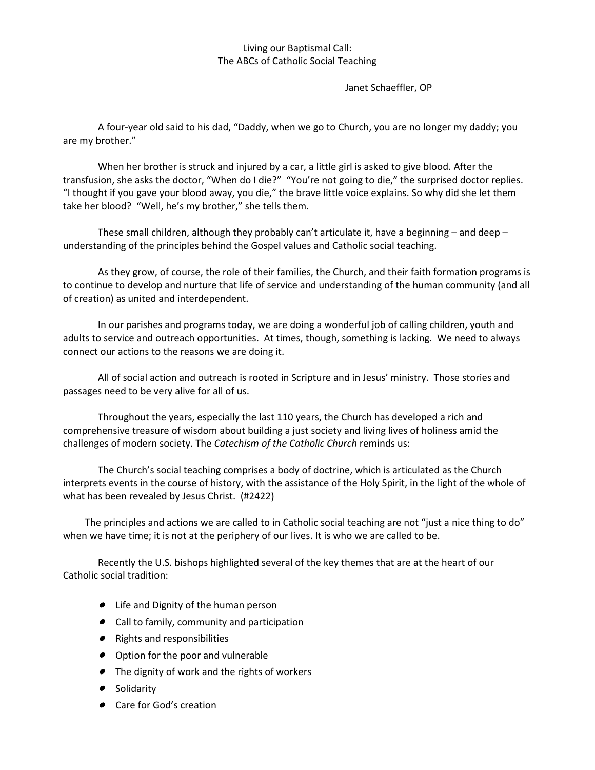## Living our Baptismal Call: The ABCs of Catholic Social Teaching

Janet Schaeffler, OP

A four-year old said to his dad, "Daddy, when we go to Church, you are no longer my daddy; you are my brother."

When her brother is struck and injured by a car, a little girl is asked to give blood. After the transfusion, she asks the doctor, "When do I die?" "You're not going to die," the surprised doctor replies. "I thought if you gave your blood away, you die," the brave little voice explains. So why did she let them take her blood? "Well, he's my brother," she tells them.

These small children, although they probably can't articulate it, have a beginning – and deep – understanding of the principles behind the Gospel values and Catholic social teaching.

As they grow, of course, the role of their families, the Church, and their faith formation programs is to continue to develop and nurture that life of service and understanding of the human community (and all of creation) as united and interdependent.

In our parishes and programs today, we are doing a wonderful job of calling children, youth and adults to service and outreach opportunities. At times, though, something is lacking. We need to always connect our actions to the reasons we are doing it.

All of social action and outreach is rooted in Scripture and in Jesus' ministry. Those stories and passages need to be very alive for all of us.

Throughout the years, especially the last 110 years, the Church has developed a rich and comprehensive treasure of wisdom about building a just society and living lives of holiness amid the challenges of modern society. The *Catechism of the Catholic Church* reminds us:

The Church's social teaching comprises a body of doctrine, which is articulated as the Church interprets events in the course of history, with the assistance of the Holy Spirit, in the light of the whole of what has been revealed by Jesus Christ. (#2422)

 The principles and actions we are called to in Catholic social teaching are not "just a nice thing to do" when we have time; it is not at the periphery of our lives. It is who we are called to be.

Recently the U.S. bishops highlighted several of the key themes that are at the heart of our Catholic social tradition:

- Life and Dignity of the human person
- Call to family, community and participation
- Rights and responsibilities
- **•** Option for the poor and vulnerable
- The dignity of work and the rights of workers
- **•** Solidarity
- Care for God's creation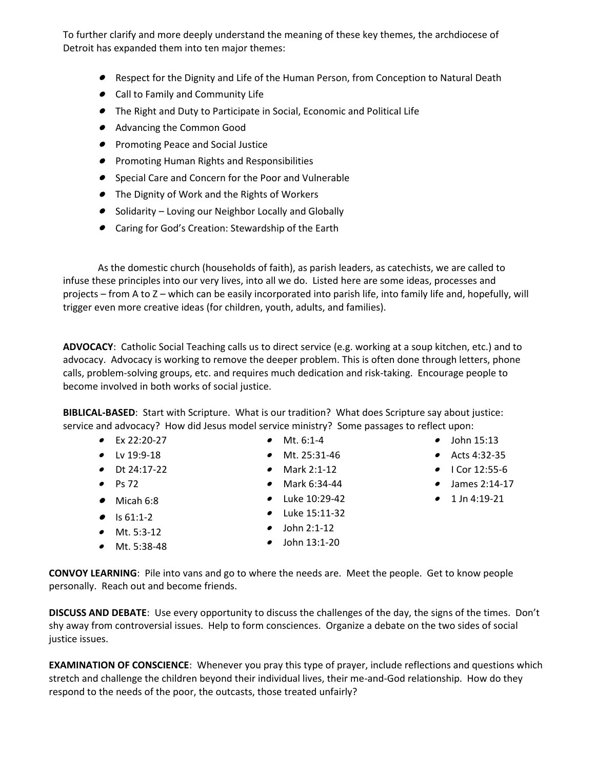To further clarify and more deeply understand the meaning of these key themes, the archdiocese of Detroit has expanded them into ten major themes:

- Respect for the Dignity and Life of the Human Person, from Conception to Natural Death
- Call to Family and Community Life
- The Right and Duty to Participate in Social, Economic and Political Life
- Advancing the Common Good
- Promoting Peace and Social Justice
- **Promoting Human Rights and Responsibilities**
- Special Care and Concern for the Poor and Vulnerable
- The Dignity of Work and the Rights of Workers
- Solidarity Loving our Neighbor Locally and Globally
- Caring for God's Creation: Stewardship of the Earth

As the domestic church (households of faith), as parish leaders, as catechists, we are called to infuse these principles into our very lives, into all we do. Listed here are some ideas, processes and projects – from A to Z – which can be easily incorporated into parish life, into family life and, hopefully, will trigger even more creative ideas (for children, youth, adults, and families).

**ADVOCACY**: Catholic Social Teaching calls us to direct service (e.g. working at a soup kitchen, etc.) and to advocacy. Advocacy is working to remove the deeper problem. This is often done through letters, phone calls, problem-solving groups, etc. and requires much dedication and risk-taking. Encourage people to become involved in both works of social justice.

**BIBLICAL-BASED**: Start with Scripture. What is our tradition? What does Scripture say about justice: service and advocacy? How did Jesus model service ministry? Some passages to reflect upon:

- $\bullet$  Ex 22:20-27
- $\bullet$  Lv 19:9-18
- Dt 24:17-22
- $\bullet$  Ps 72
- Micah 6:8
- $\bullet$  Is 61:1-2
- Mt. 5:3-12
- Mt. 5:38-48
- Mt. 6:1-4
- Mt. 25:31-46
- Mark 2:1-12
- Mark 6:34-44
- Luke 10:29-42
- Luke 15:11-32
- $\bullet$  John 2:1-12 John 13:1-20
- $\bullet$  John 15:13 Acts 4:32-35
- $\bullet$  I Cor 12:55-6
- James 2:14-17
- $\bullet$  1 Jn 4:19-21

**CONVOY LEARNING**: Pile into vans and go to where the needs are. Meet the people. Get to know people personally. Reach out and become friends.

**DISCUSS AND DEBATE**: Use every opportunity to discuss the challenges of the day, the signs of the times. Don't shy away from controversial issues. Help to form consciences. Organize a debate on the two sides of social justice issues.

**EXAMINATION OF CONSCIENCE**: Whenever you pray this type of prayer, include reflections and questions which stretch and challenge the children beyond their individual lives, their me-and-God relationship. How do they respond to the needs of the poor, the outcasts, those treated unfairly?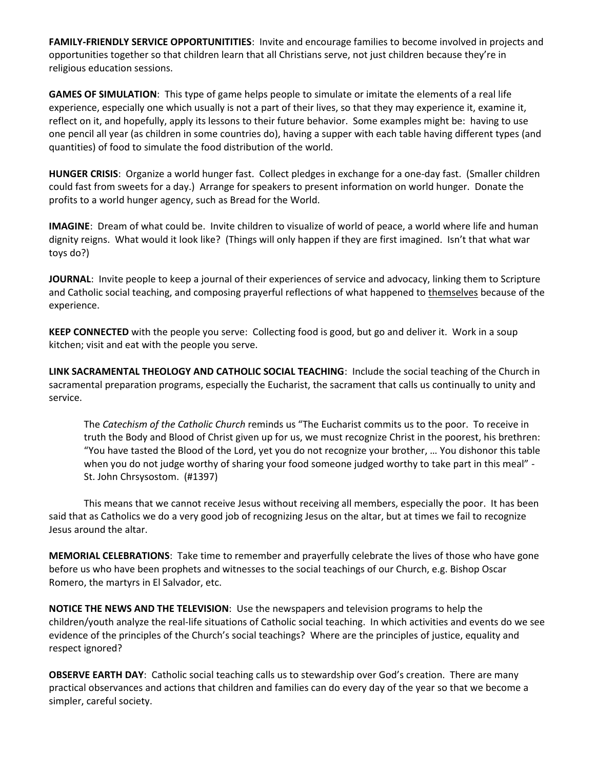**FAMILY-FRIENDLY SERVICE OPPORTUNITITIES**: Invite and encourage families to become involved in projects and opportunities together so that children learn that all Christians serve, not just children because they're in religious education sessions.

**GAMES OF SIMULATION**: This type of game helps people to simulate or imitate the elements of a real life experience, especially one which usually is not a part of their lives, so that they may experience it, examine it, reflect on it, and hopefully, apply its lessons to their future behavior. Some examples might be: having to use one pencil all year (as children in some countries do), having a supper with each table having different types (and quantities) of food to simulate the food distribution of the world.

**HUNGER CRISIS**: Organize a world hunger fast. Collect pledges in exchange for a one-day fast. (Smaller children could fast from sweets for a day.) Arrange for speakers to present information on world hunger. Donate the profits to a world hunger agency, such as Bread for the World.

**IMAGINE**: Dream of what could be. Invite children to visualize of world of peace, a world where life and human dignity reigns. What would it look like? (Things will only happen if they are first imagined. Isn't that what war toys do?)

**JOURNAL**: Invite people to keep a journal of their experiences of service and advocacy, linking them to Scripture and Catholic social teaching, and composing prayerful reflections of what happened to themselves because of the experience.

**KEEP CONNECTED** with the people you serve: Collecting food is good, but go and deliver it. Work in a soup kitchen; visit and eat with the people you serve.

**LINK SACRAMENTAL THEOLOGY AND CATHOLIC SOCIAL TEACHING**: Include the social teaching of the Church in sacramental preparation programs, especially the Eucharist, the sacrament that calls us continually to unity and service.

The *Catechism of the Catholic Church* reminds us "The Eucharist commits us to the poor. To receive in truth the Body and Blood of Christ given up for us, we must recognize Christ in the poorest, his brethren: "You have tasted the Blood of the Lord, yet you do not recognize your brother, … You dishonor this table when you do not judge worthy of sharing your food someone judged worthy to take part in this meal" - St. John Chrsysostom. (#1397)

This means that we cannot receive Jesus without receiving all members, especially the poor. It has been said that as Catholics we do a very good job of recognizing Jesus on the altar, but at times we fail to recognize Jesus around the altar.

**MEMORIAL CELEBRATIONS**: Take time to remember and prayerfully celebrate the lives of those who have gone before us who have been prophets and witnesses to the social teachings of our Church, e.g. Bishop Oscar Romero, the martyrs in El Salvador, etc.

**NOTICE THE NEWS AND THE TELEVISION**: Use the newspapers and television programs to help the children/youth analyze the real-life situations of Catholic social teaching. In which activities and events do we see evidence of the principles of the Church's social teachings? Where are the principles of justice, equality and respect ignored?

**OBSERVE EARTH DAY**: Catholic social teaching calls us to stewardship over God's creation. There are many practical observances and actions that children and families can do every day of the year so that we become a simpler, careful society.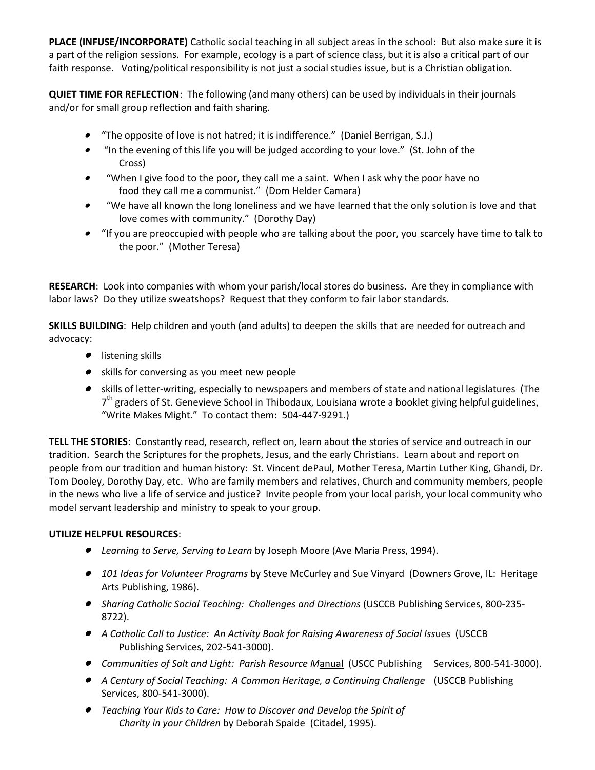**PLACE (INFUSE/INCORPORATE)** Catholic social teaching in all subject areas in the school: But also make sure it is a part of the religion sessions. For example, ecology is a part of science class, but it is also a critical part of our faith response. Voting/political responsibility is not just a social studies issue, but is a Christian obligation.

**QUIET TIME FOR REFLECTION**: The following (and many others) can be used by individuals in their journals and/or for small group reflection and faith sharing.

- . "The opposite of love is not hatred; it is indifference." (Daniel Berrigan, S.J.)
- . "In the evening of this life you will be judged according to your love." (St. John of the Cross)
- "When I give food to the poor, they call me a saint. When I ask why the poor have no food they call me a communist." (Dom Helder Camara)
- "We have all known the long loneliness and we have learned that the only solution is love and that love comes with community." (Dorothy Day)
- "If you are preoccupied with people who are talking about the poor, you scarcely have time to talk to the poor." (Mother Teresa)

**RESEARCH**: Look into companies with whom your parish/local stores do business. Are they in compliance with labor laws? Do they utilize sweatshops? Request that they conform to fair labor standards.

**SKILLS BUILDING**: Help children and youth (and adults) to deepen the skills that are needed for outreach and advocacy:

- **•** listening skills
- skills for conversing as you meet new people
- skills of letter-writing, especially to newspapers and members of state and national legislatures (The 7<sup>th</sup> graders of St. Genevieve School in Thibodaux, Louisiana wrote a booklet giving helpful guidelines, "Write Makes Might." To contact them: 504-447-9291.)

**TELL THE STORIES**: Constantly read, research, reflect on, learn about the stories of service and outreach in our tradition. Search the Scriptures for the prophets, Jesus, and the early Christians. Learn about and report on people from our tradition and human history: St. Vincent dePaul, Mother Teresa, Martin Luther King, Ghandi, Dr. Tom Dooley, Dorothy Day, etc. Who are family members and relatives, Church and community members, people in the news who live a life of service and justice? Invite people from your local parish, your local community who model servant leadership and ministry to speak to your group.

## **UTILIZE HELPFUL RESOURCES**:

- *Learning to Serve, Serving to Learn* by Joseph Moore (Ave Maria Press, 1994).
- 101 Ideas for Volunteer *Programs* by Steve McCurley and Sue Vinyard (Downers Grove, IL: Heritage Arts Publishing, 1986).
- *Sharing Catholic Social Teaching: Challenges and Directions* (USCCB Publishing Services, 800-235- 8722).
- A Catholic Call to Justice: An Activity Book for Raising Awareness of Social Issues (USCCB Publishing Services, 202-541-3000).
- Communities of Salt and Light: Parish Resource Manual (USCC Publishing Services, 800-541-3000).
- *A Century of Social Teaching: A Common Heritage, a Continuing Challenge* (USCCB Publishing Services, 800-541-3000).
- Teaching Your Kids to Care: How to Discover and Develop the Spirit of *Charity in your Children* by Deborah Spaide (Citadel, 1995).